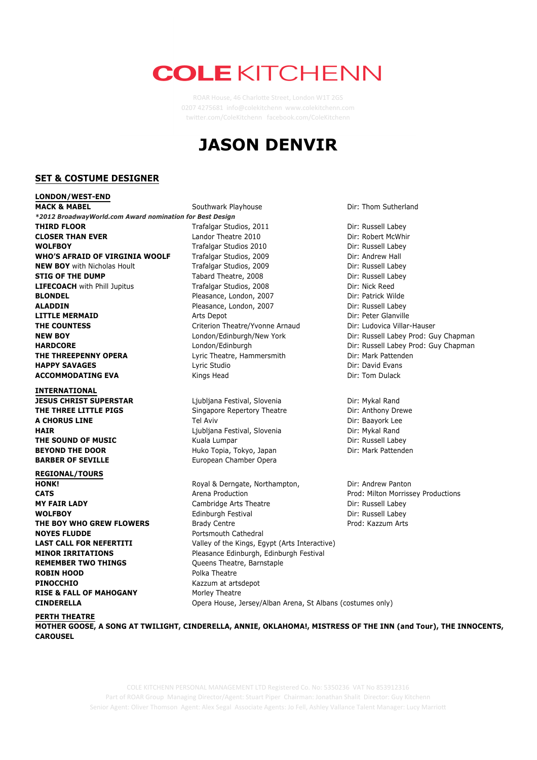## **COLE KITCHENN**

ROAR House, 46 Charlotte Street, London W1T 2GS 0207 4275681 info@colekitchenn www.colekitchenn.com twitter.com/ColeKitchenn facebook.com/ColeKitchenn

## **JASON DENVIR**



COLE KITCHENN PERSONAL MANAGEMENT LTD Registered Co. No: 5350236 VAT No 853912316 Part of ROAR Group Managing Director/Agent: Stuart Piper Chairman: Jonathan Shalit Director: Guy Kitchenn Senior Agent: Oliver Thomson Agent: Alex Segal Associate Agents: Jo Fell, Ashley Vallance Talent Manager: Lucy Marriott